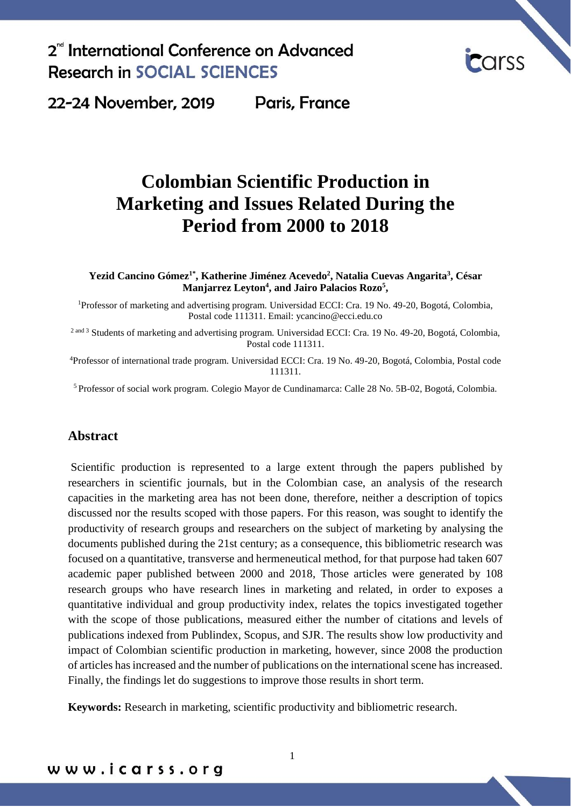

22-24 November, 2019 Paris, France

# **Colombian Scientific Production in Marketing and Issues Related During the Period from 2000 to 2018**

**Yezid Cancino Gómez1\* , Katherine Jiménez Acevedo<sup>2</sup> , Natalia Cuevas Angarita<sup>3</sup> , César Manjarrez Leyton<sup>4</sup> , and Jairo Palacios Rozo<sup>5</sup> ,**

<sup>1</sup>Professor of marketing and advertising program. Universidad ECCI: Cra. 19 No. 49-20, Bogotá, Colombia, Postal code 111311. Email: ycancino@ecci.edu.co

<sup>2 and 3</sup> Students of marketing and advertising program. Universidad ECCI: Cra. 19 No. 49-20, Bogotá, Colombia, Postal code 111311.

<sup>4</sup>Professor of international trade program. Universidad ECCI: Cra. 19 No. 49-20, Bogotá, Colombia, Postal code 111311.

<sup>5</sup>Professor of social work program. Colegio Mayor de Cundinamarca: Calle 28 No. 5B-02, Bogotá, Colombia.

### **Abstract**

Scientific production is represented to a large extent through the papers published by researchers in scientific journals, but in the Colombian case, an analysis of the research capacities in the marketing area has not been done, therefore, neither a description of topics discussed nor the results scoped with those papers. For this reason, was sought to identify the productivity of research groups and researchers on the subject of marketing by analysing the documents published during the 21st century; as a consequence, this bibliometric research was focused on a quantitative, transverse and hermeneutical method, for that purpose had taken 607 academic paper published between 2000 and 2018, Those articles were generated by 108 research groups who have research lines in marketing and related, in order to exposes a quantitative individual and group productivity index, relates the topics investigated together with the scope of those publications, measured either the number of citations and levels of publications indexed from Publindex, Scopus, and SJR. The results show low productivity and impact of Colombian scientific production in marketing, however, since 2008 the production of articles has increased and the number of publications on the international scene has increased. Finally, the findings let do suggestions to improve those results in short term.

**Keywords:** Research in marketing, scientific productivity and bibliometric research.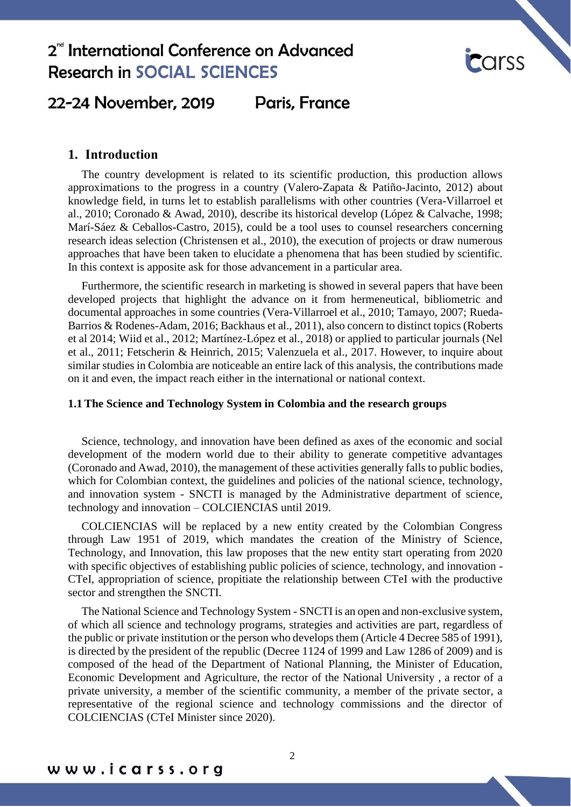

### 22-24 November, 2019 Paris, France

### **1. Introduction**

The country development is related to its scientific production, this production allows approximations to the progress in a country (Valero-Zapata & Patiño-Jacinto, 2012) about knowledge field, in turns let to establish parallelisms with other countries (Vera-Villarroel et al., 2010; Coronado & Awad, 2010), describe its historical develop (López & Calvache, 1998; Marí-Sáez & Ceballos-Castro, 2015), could be a tool uses to counsel researchers concerning research ideas selection (Christensen et al., 2010), the execution of projects or draw numerous approaches that have been taken to elucidate a phenomena that has been studied by scientific. In this context is apposite ask for those advancement in a particular area.

Furthermore, the scientific research in marketing is showed in several papers that have been developed projects that highlight the advance on it from hermeneutical, bibliometric and documental approaches in some countries (Vera-Villarroel et al., 2010; Tamayo, 2007; Rueda-Barrios & Rodenes-Adam, 2016; Backhaus et al., 2011), also concern to distinct topics (Roberts et al 2014; Wiid et al., 2012; Martínez-López et al., 2018) or applied to particular journals (Nel et al., 2011; Fetscherin & Heinrich, 2015; Valenzuela et al., 2017. However, to inquire about similar studies in Colombia are noticeable an entire lack of this analysis, the contributions made on it and even, the impact reach either in the international or national context.

### **1.1 The Science and Technology System in Colombia and the research groups**

Science, technology, and innovation have been defined as axes of the economic and social development of the modern world due to their ability to generate competitive advantages (Coronado and Awad, 2010), the management of these activities generally falls to public bodies, which for Colombian context, the guidelines and policies of the national science, technology, and innovation system - SNCTI is managed by the Administrative department of science, technology and innovation – COLCIENCIAS until 2019.

COLCIENCIAS will be replaced by a new entity created by the Colombian Congress through Law 1951 of 2019, which mandates the creation of the Ministry of Science, Technology, and Innovation, this law proposes that the new entity start operating from 2020 with specific objectives of establishing public policies of science, technology, and innovation -CTeI, appropriation of science, propitiate the relationship between CTeI with the productive sector and strengthen the SNCTI.

The National Science and Technology System - SNCTI is an open and non-exclusive system, of which all science and technology programs, strategies and activities are part, regardless of the public or private institution or the person who develops them (Article 4 Decree 585 of 1991), is directed by the president of the republic (Decree 1124 of 1999 and Law 1286 of 2009) and is composed of the head of the Department of National Planning, the Minister of Education, Economic Development and Agriculture, the rector of the National University , a rector of a private university, a member of the scientific community, a member of the private sector, a representative of the regional science and technology commissions and the director of COLCIENCIAS (CTeI Minister since 2020).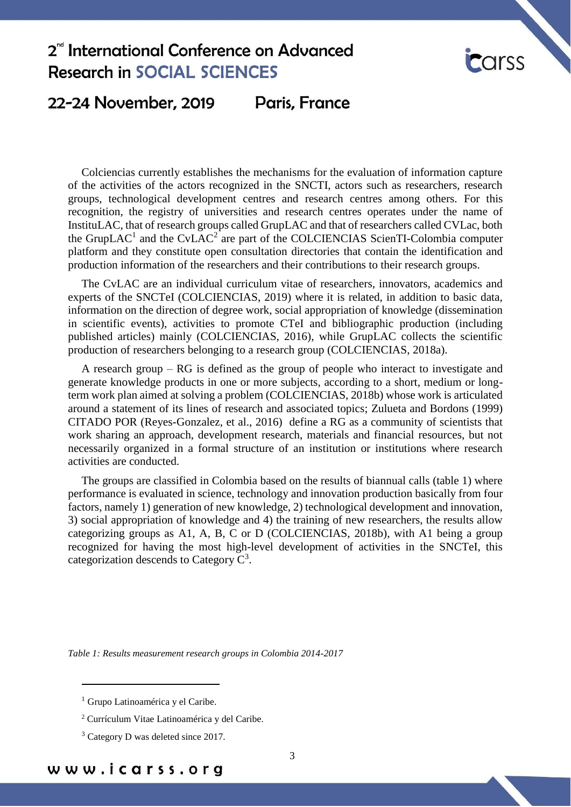

### 22-24 November, 2019 Paris, France

Colciencias currently establishes the mechanisms for the evaluation of information capture of the activities of the actors recognized in the SNCTI, actors such as researchers, research groups, technological development centres and research centres among others. For this recognition, the registry of universities and research centres operates under the name of InstituLAC, that of research groups called GrupLAC and that of researchers called CVLac, both the GrupLAC<sup>1</sup> and the CvLAC<sup>2</sup> are part of the COLCIENCIAS ScienTI-Colombia computer platform and they constitute open consultation directories that contain the identification and production information of the researchers and their contributions to their research groups.

The CvLAC are an individual curriculum vitae of researchers, innovators, academics and experts of the SNCTeI (COLCIENCIAS, 2019) where it is related, in addition to basic data, information on the direction of degree work, social appropriation of knowledge (dissemination in scientific events), activities to promote CTeI and bibliographic production (including published articles) mainly (COLCIENCIAS, 2016), while GrupLAC collects the scientific production of researchers belonging to a research group (COLCIENCIAS, 2018a).

A research group – RG is defined as the group of people who interact to investigate and generate knowledge products in one or more subjects, according to a short, medium or longterm work plan aimed at solving a problem (COLCIENCIAS, 2018b) whose work is articulated around a statement of its lines of research and associated topics; Zulueta and Bordons (1999) CITADO POR (Reyes-Gonzalez, et al., 2016) define a RG as a community of scientists that work sharing an approach, development research, materials and financial resources, but not necessarily organized in a formal structure of an institution or institutions where research activities are conducted.

The groups are classified in Colombia based on the results of biannual calls (table 1) where performance is evaluated in science, technology and innovation production basically from four factors, namely 1) generation of new knowledge, 2) technological development and innovation, 3) social appropriation of knowledge and 4) the training of new researchers, the results allow categorizing groups as A1, A, B, C or D (COLCIENCIAS, 2018b), with A1 being a group recognized for having the most high-level development of activities in the SNCTeI, this categorization descends to Category  $C^3$ .

*Table 1: Results measurement research groups in Colombia 2014-2017*

1

<sup>&</sup>lt;sup>1</sup> Grupo Latinoamérica y el Caribe.

<sup>2</sup> Currículum Vitae Latinoamérica y del Caribe.

<sup>&</sup>lt;sup>3</sup> Category D was deleted since 2017.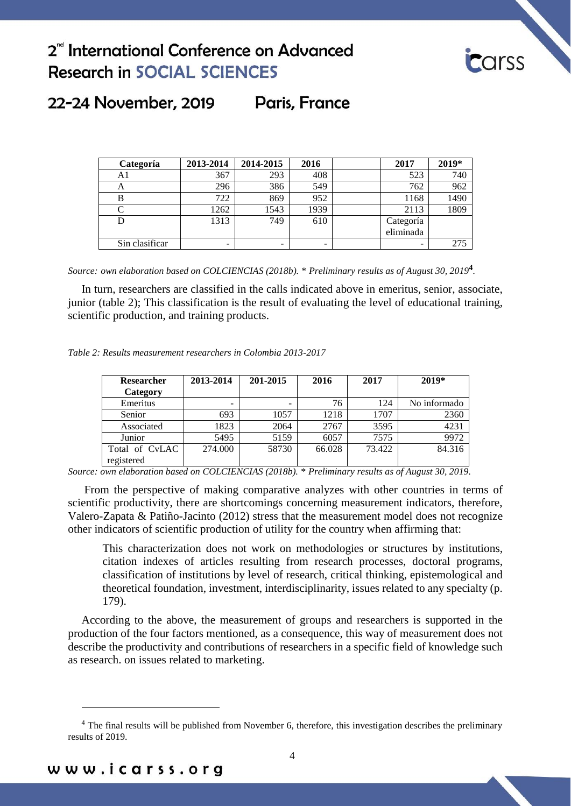

### 22-24 November, 2019 Paris, France

| Categoría      | 2013-2014 | 2014-2015 | 2016 | 2017      | 2019* |
|----------------|-----------|-----------|------|-----------|-------|
| Al             | 367       | 293       | 408  | 523       | 740   |
| A              | 296       | 386       | 549  | 762       | 962   |
|                | 722       | 869       | 952  | 1168      | 1490  |
|                | 1262      | 1543      | 1939 | 2113      | 1809  |
| D              | 1313      | 749       | 610  | Categoría |       |
|                |           |           |      | eliminada |       |
| Sin clasificar |           |           |      |           | 275   |

*Source: own elaboration based on COLCIENCIAS (2018b). \* Preliminary results as of August 30, 2019***<sup>4</sup>** *.*

In turn, researchers are classified in the calls indicated above in emeritus, senior, associate, junior (table 2); This classification is the result of evaluating the level of educational training, scientific production, and training products.

| Table 2: Results measurement researchers in Colombia 2013-2017 |  |  |  |
|----------------------------------------------------------------|--|--|--|
|----------------------------------------------------------------|--|--|--|

| <b>Researcher</b> | 2013-2014 | 201-2015 | 2016   | 2017   | $2019*$      |
|-------------------|-----------|----------|--------|--------|--------------|
| Category          |           |          |        |        |              |
| Emeritus          | -         | -        | 76     | 124    | No informado |
| Senior            | 693       | 1057     | 1218   | 1707   | 2360         |
| Associated        | 1823      | 2064     | 2767   | 3595   | 4231         |
| Junior            | 5495      | 5159     | 6057   | 7575   | 9972         |
| Total of CyLAC    | 274.000   | 58730    | 66.028 | 73.422 | 84.316       |
| registered        |           |          |        |        |              |

*Source: own elaboration based on COLCIENCIAS (2018b). \* Preliminary results as of August 30, 2019.*

From the perspective of making comparative analyzes with other countries in terms of scientific productivity, there are shortcomings concerning measurement indicators, therefore, Valero-Zapata & Patiño-Jacinto (2012) stress that the measurement model does not recognize other indicators of scientific production of utility for the country when affirming that:

This characterization does not work on methodologies or structures by institutions, citation indexes of articles resulting from research processes, doctoral programs, classification of institutions by level of research, critical thinking, epistemological and theoretical foundation, investment, interdisciplinarity, issues related to any specialty (p. 179).

According to the above, the measurement of groups and researchers is supported in the production of the four factors mentioned, as a consequence, this way of measurement does not describe the productivity and contributions of researchers in a specific field of knowledge such as research. on issues related to marketing.

<u>.</u>

<sup>&</sup>lt;sup>4</sup> The final results will be published from November 6, therefore, this investigation describes the preliminary results of 2019.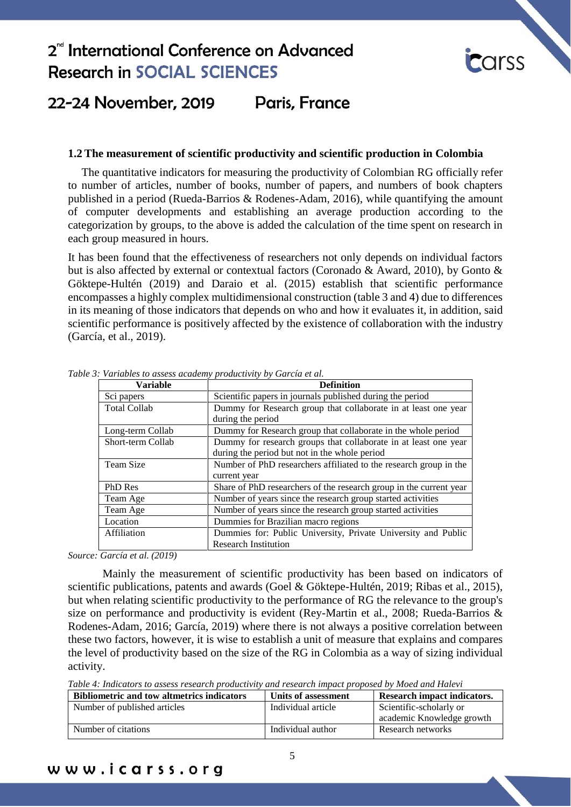

#### 22-24 November, 2019 Paris, France

### **1.2 The measurement of scientific productivity and scientific production in Colombia**

The quantitative indicators for measuring the productivity of Colombian RG officially refer to number of articles, number of books, number of papers, and numbers of book chapters published in a period (Rueda-Barrios & Rodenes-Adam, 2016), while quantifying the amount of computer developments and establishing an average production according to the categorization by groups, to the above is added the calculation of the time spent on research in each group measured in hours.

It has been found that the effectiveness of researchers not only depends on individual factors but is also affected by external or contextual factors (Coronado & Award, 2010), by Gonto & Göktepe-Hultén (2019) and Daraio et al. (2015) establish that scientific performance encompasses a highly complex multidimensional construction (table 3 and 4) due to differences in its meaning of those indicators that depends on who and how it evaluates it, in addition, said scientific performance is positively affected by the existence of collaboration with the industry (García, et al., 2019).

| <b>Variable</b>     | <b>Definition</b>                                                  |
|---------------------|--------------------------------------------------------------------|
| Sci papers          | Scientific papers in journals published during the period          |
| <b>Total Collab</b> | Dummy for Research group that collaborate in at least one year     |
|                     | during the period                                                  |
| Long-term Collab    | Dummy for Research group that collaborate in the whole period      |
| Short-term Collab   | Dummy for research groups that collaborate in at least one year    |
|                     | during the period but not in the whole period                      |
| Team Size           | Number of PhD researchers affiliated to the research group in the  |
|                     | current year                                                       |
| PhD Res             | Share of PhD researchers of the research group in the current year |
| Team Age            | Number of years since the research group started activities        |
| Team Age            | Number of years since the research group started activities        |
| Location            | Dummies for Brazilian macro regions                                |
| Affiliation         | Dummies for: Public University, Private University and Public      |
|                     | <b>Research Institution</b>                                        |

*Table 3: Variables to assess academy productivity by García et al.*

*Source: García et al. (2019)*

Mainly the measurement of scientific productivity has been based on indicators of scientific publications, patents and awards (Goel & Göktepe-Hultén, 2019; Ribas et al., 2015), but when relating scientific productivity to the performance of RG the relevance to the group's size on performance and productivity is evident (Rey-Martin et al., 2008; Rueda-Barrios & Rodenes-Adam, 2016; García, 2019) where there is not always a positive correlation between these two factors, however, it is wise to establish a unit of measure that explains and compares the level of productivity based on the size of the RG in Colombia as a way of sizing individual activity.

*Table 4: Indicators to assess research productivity and research impact proposed by Moed and Halevi*

| <b>Bibliometric and tow altmetrics indicators</b> | Units of assessment | Research impact indicators. |
|---------------------------------------------------|---------------------|-----------------------------|
| Number of published articles                      | Individual article  | Scientific-scholarly or     |
|                                                   |                     | academic Knowledge growth   |
| Number of citations                               | Individual author   | Research networks           |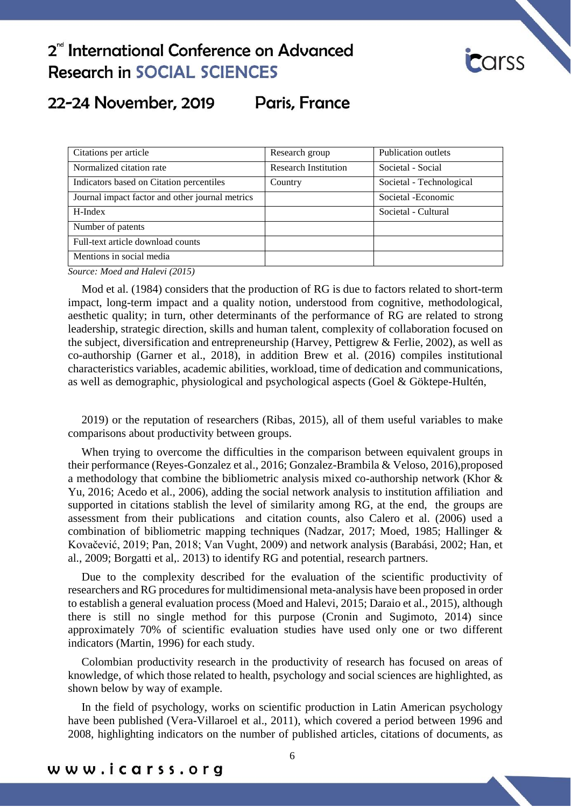

### 22-24 November, 2019 Paris, France

| Citations per article                           | Research group              | Publication outlets      |
|-------------------------------------------------|-----------------------------|--------------------------|
| Normalized citation rate                        | <b>Research Institution</b> | Societal - Social        |
| Indicators based on Citation percentiles        | Country                     | Societal - Technological |
| Journal impact factor and other journal metrics |                             | Societal - Economic      |
| H-Index                                         |                             | Societal - Cultural      |
| Number of patents                               |                             |                          |
| Full-text article download counts               |                             |                          |
| Mentions in social media                        |                             |                          |

*Source: Moed and Halevi (2015)*

Mod et al. (1984) considers that the production of RG is due to factors related to short-term impact, long-term impact and a quality notion, understood from cognitive, methodological, aesthetic quality; in turn, other determinants of the performance of RG are related to strong leadership, strategic direction, skills and human talent, complexity of collaboration focused on the subject, diversification and entrepreneurship (Harvey, Pettigrew & Ferlie, 2002), as well as co-authorship (Garner et al., 2018), in addition Brew et al. (2016) compiles institutional characteristics variables, academic abilities, workload, time of dedication and communications, as well as demographic, physiological and psychological aspects (Goel & Göktepe-Hultén,

2019) or the reputation of researchers (Ribas, 2015), all of them useful variables to make comparisons about productivity between groups.

When trying to overcome the difficulties in the comparison between equivalent groups in their performance (Reyes-Gonzalez et al., 2016; Gonzalez-Brambila & Veloso, 2016),proposed a methodology that combine the bibliometric analysis mixed co-authorship network (Khor & Yu, 2016; Acedo et al., 2006), adding the social network analysis to institution affiliation and supported in citations stablish the level of similarity among RG, at the end, the groups are assessment from their publications and citation counts, also Calero et al. (2006) used a combination of bibliometric mapping techniques (Nadzar, 2017; Moed, 1985; Hallinger & Kovačević, 2019; Pan, 2018; Van Vught, 2009) and network analysis (Barabási, 2002; Han, et al., 2009; Borgatti et al,. 2013) to identify RG and potential, research partners.

Due to the complexity described for the evaluation of the scientific productivity of researchers and RG procedures for multidimensional meta-analysis have been proposed in order to establish a general evaluation process (Moed and Halevi, 2015; Daraio et al., 2015), although there is still no single method for this purpose (Cronin and Sugimoto, 2014) since approximately 70% of scientific evaluation studies have used only one or two different indicators (Martin, 1996) for each study.

Colombian productivity research in the productivity of research has focused on areas of knowledge, of which those related to health, psychology and social sciences are highlighted, as shown below by way of example.

In the field of psychology, works on scientific production in Latin American psychology have been published (Vera-Villaroel et al., 2011), which covered a period between 1996 and 2008, highlighting indicators on the number of published articles, citations of documents, as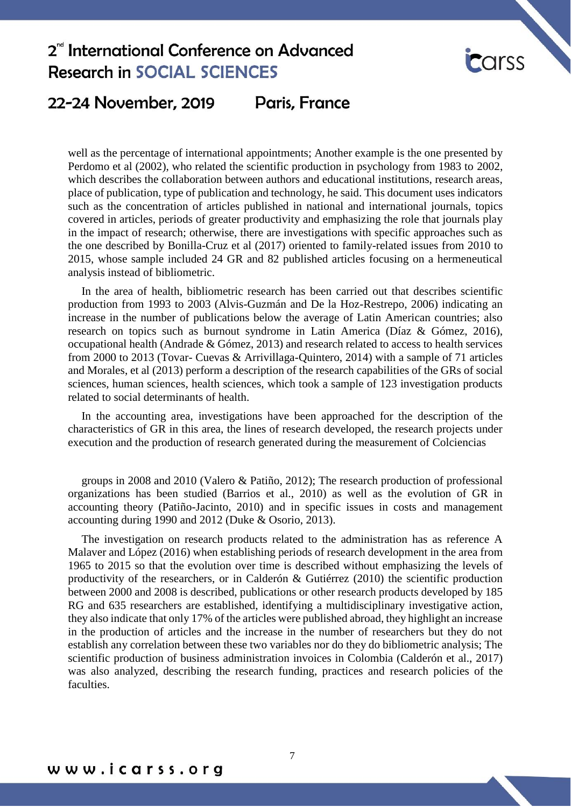

#### **Paris, France** 22-24 November, 2019

well as the percentage of international appointments; Another example is the one presented by Perdomo et al (2002), who related the scientific production in psychology from 1983 to 2002, which describes the collaboration between authors and educational institutions, research areas, place of publication, type of publication and technology, he said. This document uses indicators such as the concentration of articles published in national and international journals, topics covered in articles, periods of greater productivity and emphasizing the role that journals play in the impact of research; otherwise, there are investigations with specific approaches such as the one described by Bonilla-Cruz et al (2017) oriented to family-related issues from 2010 to 2015, whose sample included 24 GR and 82 published articles focusing on a hermeneutical analysis instead of bibliometric.

In the area of health, bibliometric research has been carried out that describes scientific production from 1993 to 2003 (Alvis-Guzmán and De la Hoz-Restrepo, 2006) indicating an increase in the number of publications below the average of Latin American countries; also research on topics such as burnout syndrome in Latin America (Díaz & Gómez, 2016), occupational health (Andrade & Gómez, 2013) and research related to access to health services from 2000 to 2013 (Tovar- Cuevas & Arrivillaga-Quintero, 2014) with a sample of 71 articles and Morales, et al (2013) perform a description of the research capabilities of the GRs of social sciences, human sciences, health sciences, which took a sample of 123 investigation products related to social determinants of health.

In the accounting area, investigations have been approached for the description of the characteristics of GR in this area, the lines of research developed, the research projects under execution and the production of research generated during the measurement of Colciencias

groups in 2008 and 2010 (Valero & Patiño, 2012); The research production of professional organizations has been studied (Barrios et al., 2010) as well as the evolution of GR in accounting theory (Patiño-Jacinto, 2010) and in specific issues in costs and management accounting during 1990 and 2012 (Duke & Osorio, 2013).

The investigation on research products related to the administration has as reference A Malaver and López (2016) when establishing periods of research development in the area from 1965 to 2015 so that the evolution over time is described without emphasizing the levels of productivity of the researchers, or in Calderón & Gutiérrez (2010) the scientific production between 2000 and 2008 is described, publications or other research products developed by 185 RG and 635 researchers are established, identifying a multidisciplinary investigative action, they also indicate that only 17% of the articles were published abroad, they highlight an increase in the production of articles and the increase in the number of researchers but they do not establish any correlation between these two variables nor do they do bibliometric analysis; The scientific production of business administration invoices in Colombia (Calderón et al., 2017) was also analyzed, describing the research funding, practices and research policies of the faculties.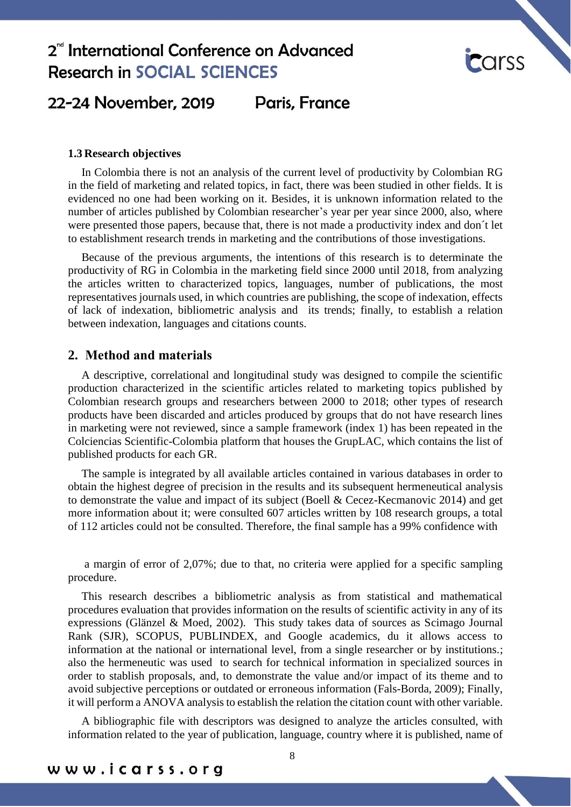

### 22-24 November, 2019 Paris, France

### **1.3 Research objectives**

In Colombia there is not an analysis of the current level of productivity by Colombian RG in the field of marketing and related topics, in fact, there was been studied in other fields. It is evidenced no one had been working on it. Besides, it is unknown information related to the number of articles published by Colombian researcher's year per year since 2000, also, where were presented those papers, because that, there is not made a productivity index and don´t let to establishment research trends in marketing and the contributions of those investigations.

Because of the previous arguments, the intentions of this research is to determinate the productivity of RG in Colombia in the marketing field since 2000 until 2018, from analyzing the articles written to characterized topics, languages, number of publications, the most representatives journals used, in which countries are publishing, the scope of indexation, effects of lack of indexation, bibliometric analysis and its trends; finally, to establish a relation between indexation, languages and citations counts.

### **2. Method and materials**

A descriptive, correlational and longitudinal study was designed to compile the scientific production characterized in the scientific articles related to marketing topics published by Colombian research groups and researchers between 2000 to 2018; other types of research products have been discarded and articles produced by groups that do not have research lines in marketing were not reviewed, since a sample framework (index 1) has been repeated in the Colciencias Scientific-Colombia platform that houses the GrupLAC, which contains the list of published products for each GR.

The sample is integrated by all available articles contained in various databases in order to obtain the highest degree of precision in the results and its subsequent hermeneutical analysis to demonstrate the value and impact of its subject (Boell & Cecez-Kecmanovic 2014) and get more information about it; were consulted 607 articles written by 108 research groups, a total of 112 articles could not be consulted. Therefore, the final sample has a 99% confidence with

a margin of error of 2,07%; due to that, no criteria were applied for a specific sampling procedure.

This research describes a bibliometric analysis as from statistical and mathematical procedures evaluation that provides information on the results of scientific activity in any of its expressions (Glänzel & Moed, 2002). This study takes data of sources as Scimago Journal Rank (SJR), SCOPUS, PUBLINDEX, and Google academics, du it allows access to information at the national or international level, from a single researcher or by institutions.; also the hermeneutic was used to search for technical information in specialized sources in order to stablish proposals, and, to demonstrate the value and/or impact of its theme and to avoid subjective perceptions or outdated or erroneous information (Fals-Borda, 2009); Finally, it will perform a ANOVA analysis to establish the relation the citation count with other variable.

A bibliographic file with descriptors was designed to analyze the articles consulted, with information related to the year of publication, language, country where it is published, name of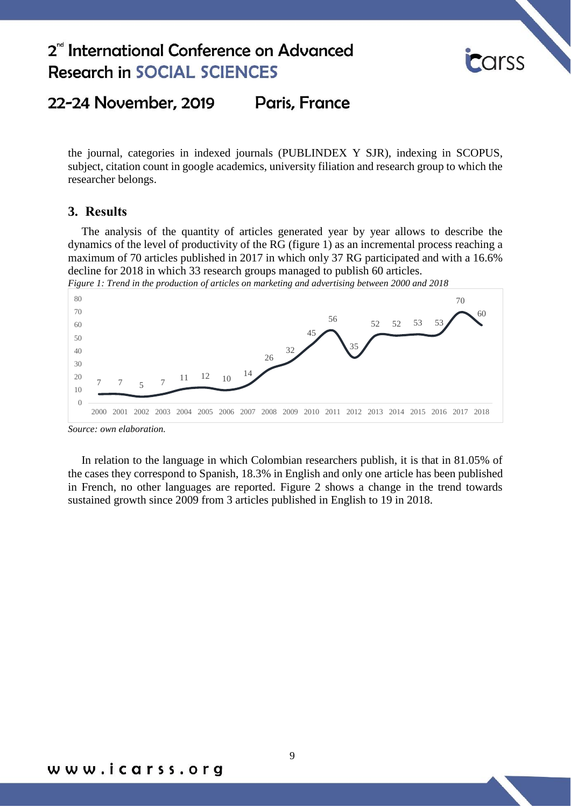

#### 22-24 November, 2019 **Paris, France**

the journal, categories in indexed journals (PUBLINDEX Y SJR), indexing in SCOPUS, subject, citation count in google academics, university filiation and research group to which the researcher belongs.

### **3. Results**

The analysis of the quantity of articles generated year by year allows to describe the dynamics of the level of productivity of the RG (figure 1) as an incremental process reaching a maximum of 70 articles published in 2017 in which only 37 RG participated and with a 16.6% decline for 2018 in which 33 research groups managed to publish 60 articles.



*Figure 1: Trend in the production of articles on marketing and advertising between 2000 and 2018*

In relation to the language in which Colombian researchers publish, it is that in 81.05% of the cases they correspond to Spanish, 18.3% in English and only one article has been published in French, no other languages are reported. Figure 2 shows a change in the trend towards sustained growth since 2009 from 3 articles published in English to 19 in 2018.

*Source: own elaboration.*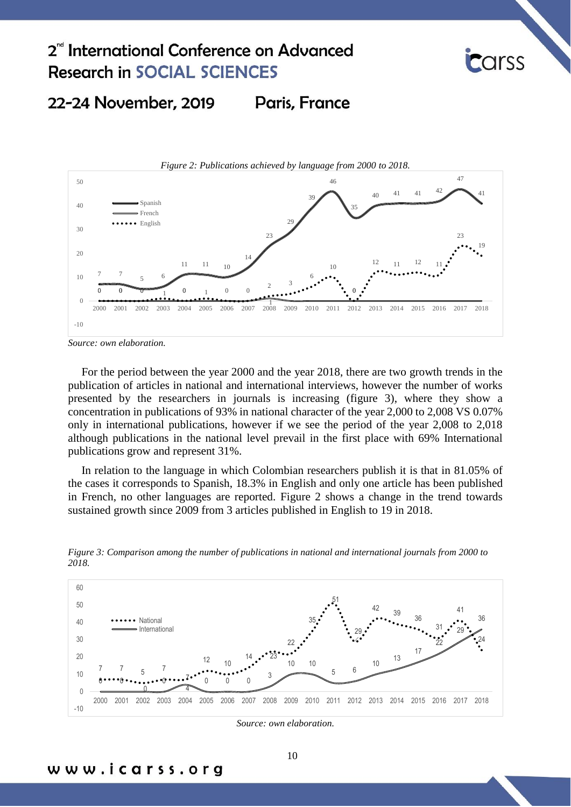

#### 22-24 November, 2019 **Paris, France**



*Source: own elaboration.*

www.icarss.org

For the period between the year 2000 and the year 2018, there are two growth trends in the publication of articles in national and international interviews, however the number of works presented by the researchers in journals is increasing (figure 3), where they show a concentration in publications of 93% in national character of the year 2,000 to 2,008 VS 0.07% only in international publications, however if we see the period of the year 2,008 to 2,018 although publications in the national level prevail in the first place with 69% International publications grow and represent 31%.

In relation to the language in which Colombian researchers publish it is that in 81.05% of the cases it corresponds to Spanish, 18.3% in English and only one article has been published in French, no other languages are reported. Figure 2 shows a change in the trend towards sustained growth since 2009 from 3 articles published in English to 19 in 2018.



*Figure 3: Comparison among the number of publications in national and international journals from 2000 to 2018.*

*Source: own elaboration.*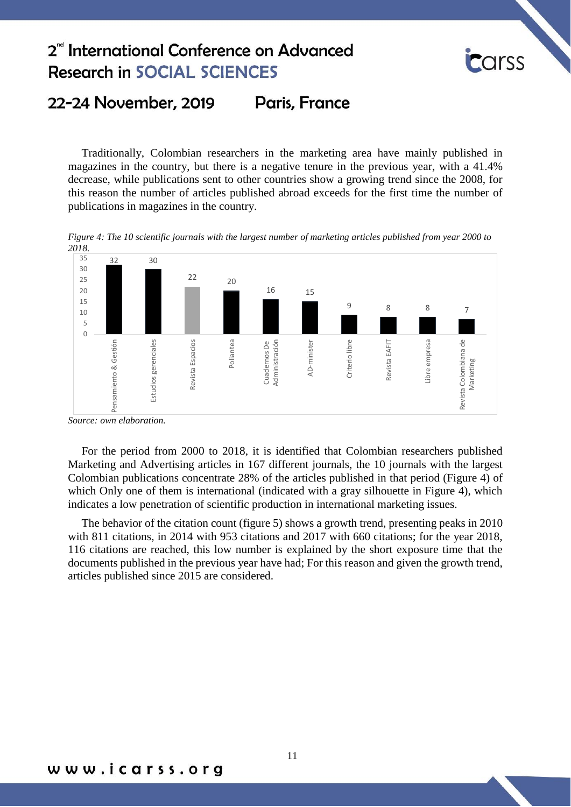

#### 22-24 November, 2019 **Paris, France**

Traditionally, Colombian researchers in the marketing area have mainly published in magazines in the country, but there is a negative tenure in the previous year, with a 41.4% decrease, while publications sent to other countries show a growing trend since the 2008, for this reason the number of articles published abroad exceeds for the first time the number of publications in magazines in the country.

*Figure 4: The 10 scientific journals with the largest number of marketing articles published from year 2000 to 2018.*



*Source: own elaboration.*

For the period from 2000 to 2018, it is identified that Colombian researchers published Marketing and Advertising articles in 167 different journals, the 10 journals with the largest Colombian publications concentrate 28% of the articles published in that period (Figure 4) of which Only one of them is international (indicated with a gray silhouette in Figure 4), which indicates a low penetration of scientific production in international marketing issues.

The behavior of the citation count (figure 5) shows a growth trend, presenting peaks in 2010 with 811 citations, in 2014 with 953 citations and 2017 with 660 citations; for the year 2018, 116 citations are reached, this low number is explained by the short exposure time that the documents published in the previous year have had; For this reason and given the growth trend, articles published since 2015 are considered.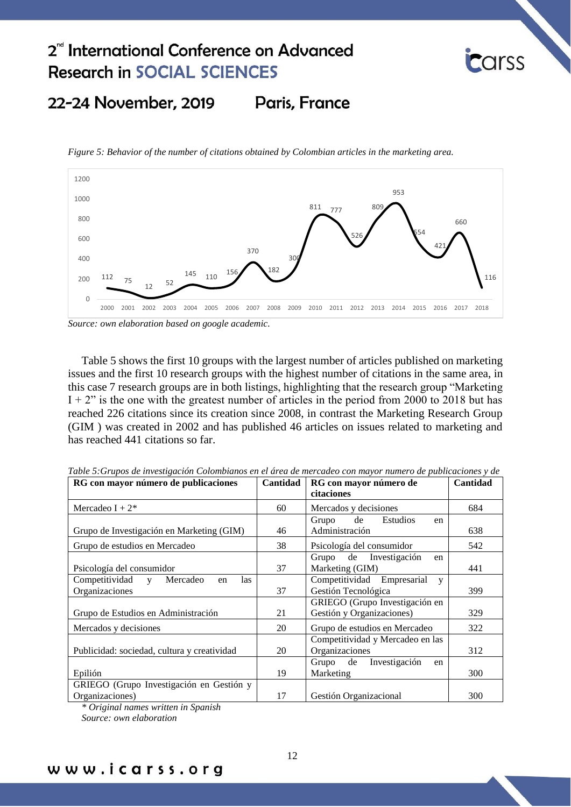

#### 22-24 November, 2019 Paris, France

*Figure 5: Behavior of the number of citations obtained by Colombian articles in the marketing area.*



*Source: own elaboration based on google academic.*

Table 5 shows the first 10 groups with the largest number of articles published on marketing issues and the first 10 research groups with the highest number of citations in the same area, in this case 7 research groups are in both listings, highlighting that the research group "Marketing  $I + 2$ " is the one with the greatest number of articles in the period from 2000 to 2018 but has reached 226 citations since its creation since 2008, in contrast the Marketing Research Group (GIM ) was created in 2002 and has published 46 articles on issues related to marketing and has reached 441 citations so far.

| RG con mayor número de publicaciones        | Cantidad | RG con mayor número de           | Cantidad |
|---------------------------------------------|----------|----------------------------------|----------|
|                                             |          | citaciones                       |          |
| Mercadeo I + $2^*$                          | 60       | Mercados y decisiones            | 684      |
|                                             |          | Estudios<br>Grupo de<br>en       |          |
| Grupo de Investigación en Marketing (GIM)   | 46       | Administración                   | 638      |
| Grupo de estudios en Mercadeo               | 38       | Psicología del consumidor        | 542      |
|                                             |          | Grupo de Investigación<br>en     |          |
| Psicología del consumidor                   | 37       | Marketing (GIM)                  | 441      |
| Competitividad y<br>Mercadeo<br>las<br>en   |          | Competitividad Empresarial<br>V  |          |
| Organizaciones                              | 37       | Gestión Tecnológica              | 399      |
|                                             |          | GRIEGO (Grupo Investigación en   |          |
| Grupo de Estudios en Administración         | 21       | Gestión y Organizaciones)        | 329      |
| Mercados y decisiones                       | 20       | Grupo de estudios en Mercadeo    | 322      |
|                                             |          | Competitividad y Mercadeo en las |          |
| Publicidad: sociedad, cultura y creatividad | 20       | Organizaciones                   | 312      |
|                                             |          | Investigación<br>Grupo de<br>en  |          |
| Epilión                                     | 19       | Marketing                        | 300      |
| GRIEGO (Grupo Investigación en Gestión y    |          |                                  |          |
| Organizaciones)                             | 17       | Gestión Organizacional           | 300      |

*Table 5:Grupos de investigación Colombianos en el área de mercadeo con mayor numero de publicaciones y de* 

*\* Original names written in Spanish*

*Source: own elaboration*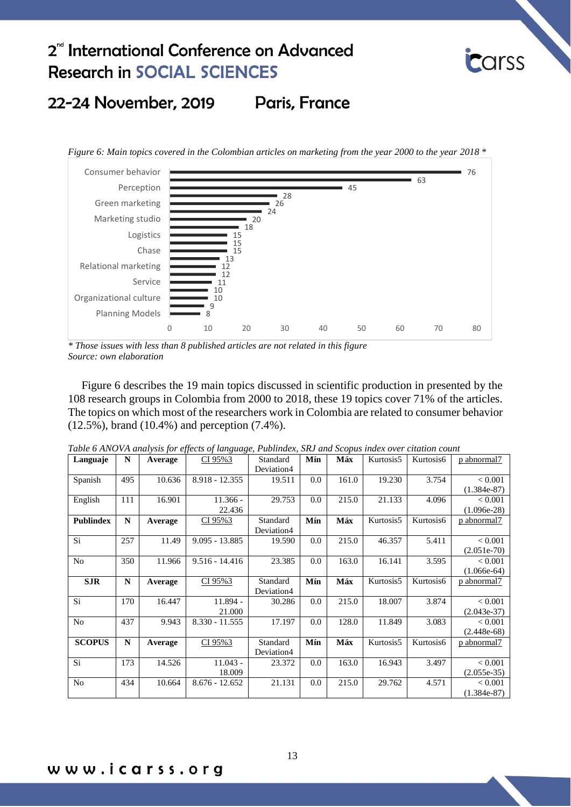

#### Paris, France 22-24 November, 2019

*Figure 6: Main topics covered in the Colombian articles on marketing from the year 2000 to the year 2018 \**



*\* Those issues with less than 8 published articles are not related in this figure Source: own elaboration*

Figure 6 describes the 19 main topics discussed in scientific production in presented by the 108 research groups in Colombia from 2000 to 2018, these 19 topics cover 71% of the articles. The topics on which most of the researchers work in Colombia are related to consumer behavior (12.5%), brand (10.4%) and perception (7.4%).

| Languaje         | N           | Average | CI 95%3          | Standard   | Mín | Máx   | Kurtosis5 | Kurtosis6 | p abnormal7    |
|------------------|-------------|---------|------------------|------------|-----|-------|-----------|-----------|----------------|
|                  |             |         |                  | Deviation4 |     |       |           |           |                |
| Spanish          | 495         | 10.636  | 8.918 - 12.355   | 19.511     | 0.0 | 161.0 | 19.230    | 3.754     | ${}_{< 0.001}$ |
|                  |             |         |                  |            |     |       |           |           | $(1.384e-87)$  |
| English          | 111         | 16.901  | $11.366 -$       | 29.753     | 0.0 | 215.0 | 21.133    | 4.096     | < 0.001        |
|                  |             |         | 22.436           |            |     |       |           |           | $(1.096e-28)$  |
| <b>Publindex</b> | N           | Average | CI 95%3          | Standard   | Mín | Máx   | Kurtosis5 | Kurtosis6 | p abnormal7    |
|                  |             |         |                  | Deviation4 |     |       |           |           |                |
| Si               | 257         | 11.49   | $9.095 - 13.885$ | 19.590     | 0.0 | 215.0 | 46.357    | 5.411     | ${}_{< 0.001}$ |
|                  |             |         |                  |            |     |       |           |           | $(2.051e-70)$  |
| N <sub>0</sub>   | 350         | 11.966  | $9.516 - 14.416$ | 23.385     | 0.0 | 163.0 | 16.141    | 3.595     | < 0.001        |
|                  |             |         |                  |            |     |       |           |           | $(1.066e-64)$  |
| <b>SJR</b>       | N           | Average | CI 95%3          | Standard   | Mín | Máx   | Kurtosis5 | Kurtosis6 | p abnormal7    |
|                  |             |         |                  | Deviation4 |     |       |           |           |                |
| Si.              | 170         | 16.447  | $11.894 -$       | 30.286     | 0.0 | 215.0 | 18.007    | 3.874     | ${}_{< 0.001}$ |
|                  |             |         | 21.000           |            |     |       |           |           | $(2.043e-37)$  |
| N <sub>o</sub>   | 437         | 9.943   | $8.330 - 11.555$ | 17.197     | 0.0 | 128.0 | 11.849    | 3.083     | < 0.001        |
|                  |             |         |                  |            |     |       |           |           | $(2.448e-68)$  |
| <b>SCOPUS</b>    | $\mathbf N$ | Average | CI 95%3          | Standard   | Mín | Máx   | Kurtosis5 | Kurtosis6 | p abnormal7    |
|                  |             |         |                  | Deviation4 |     |       |           |           |                |
| Si               | 173         | 14.526  | $11.043 -$       | 23.372     | 0.0 | 163.0 | 16.943    | 3.497     | < 0.001        |
|                  |             |         | 18.009           |            |     |       |           |           | $(2.055e-35)$  |
| No               | 434         | 10.664  | $8.676 - 12.652$ | 21.131     | 0.0 | 215.0 | 29.762    | 4.571     | < 0.001        |
|                  |             |         |                  |            |     |       |           |           | $(1.384e-87)$  |

*Table 6 ANOVA analysis for effects of language, Publindex, SRJ and Scopus index over citation count*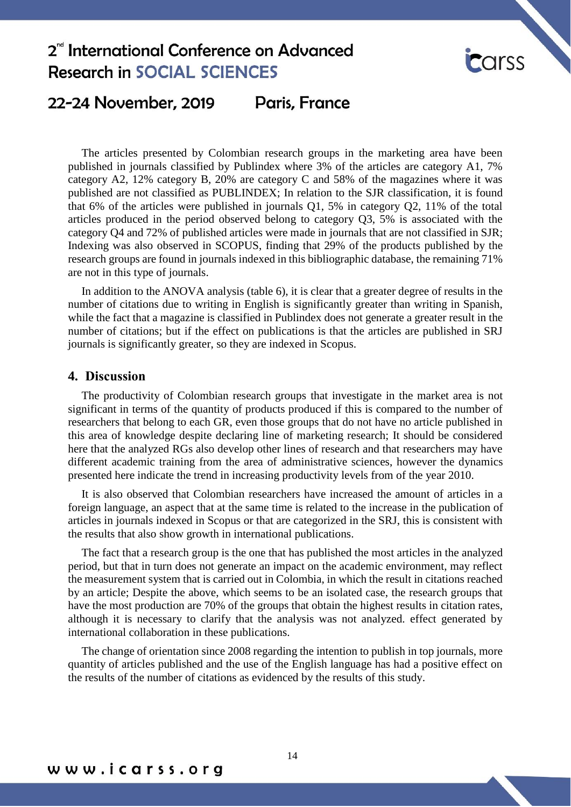

### 22-24 November, 2019 Paris, France

The articles presented by Colombian research groups in the marketing area have been published in journals classified by Publindex where 3% of the articles are category A1, 7% category A2, 12% category B, 20% are category C and 58% of the magazines where it was published are not classified as PUBLINDEX; In relation to the SJR classification, it is found that 6% of the articles were published in journals Q1, 5% in category Q2, 11% of the total articles produced in the period observed belong to category Q3, 5% is associated with the category Q4 and 72% of published articles were made in journals that are not classified in SJR; Indexing was also observed in SCOPUS, finding that 29% of the products published by the research groups are found in journals indexed in this bibliographic database, the remaining 71% are not in this type of journals.

In addition to the ANOVA analysis (table 6), it is clear that a greater degree of results in the number of citations due to writing in English is significantly greater than writing in Spanish, while the fact that a magazine is classified in Publindex does not generate a greater result in the number of citations; but if the effect on publications is that the articles are published in SRJ journals is significantly greater, so they are indexed in Scopus.

### **4. Discussion**

The productivity of Colombian research groups that investigate in the market area is not significant in terms of the quantity of products produced if this is compared to the number of researchers that belong to each GR, even those groups that do not have no article published in this area of knowledge despite declaring line of marketing research; It should be considered here that the analyzed RGs also develop other lines of research and that researchers may have different academic training from the area of administrative sciences, however the dynamics presented here indicate the trend in increasing productivity levels from of the year 2010.

It is also observed that Colombian researchers have increased the amount of articles in a foreign language, an aspect that at the same time is related to the increase in the publication of articles in journals indexed in Scopus or that are categorized in the SRJ, this is consistent with the results that also show growth in international publications.

The fact that a research group is the one that has published the most articles in the analyzed period, but that in turn does not generate an impact on the academic environment, may reflect the measurement system that is carried out in Colombia, in which the result in citations reached by an article; Despite the above, which seems to be an isolated case, the research groups that have the most production are 70% of the groups that obtain the highest results in citation rates, although it is necessary to clarify that the analysis was not analyzed. effect generated by international collaboration in these publications.

The change of orientation since 2008 regarding the intention to publish in top journals, more quantity of articles published and the use of the English language has had a positive effect on the results of the number of citations as evidenced by the results of this study.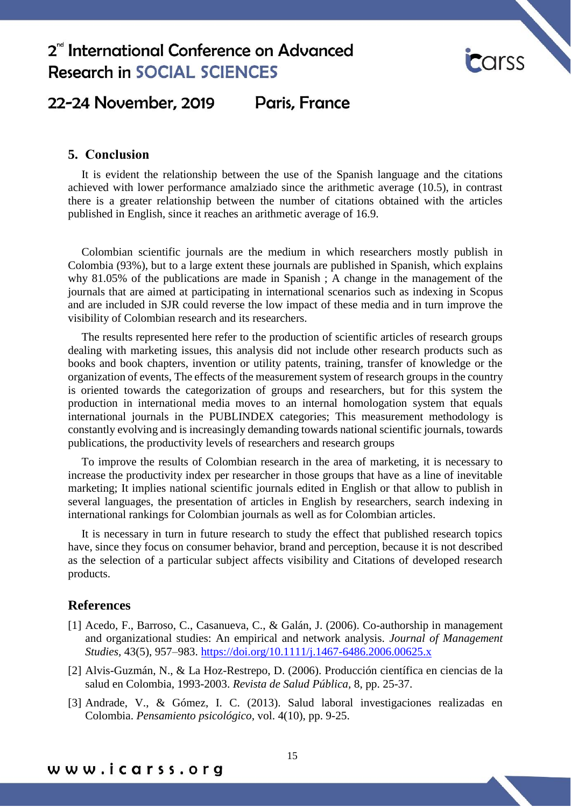

### 22-24 November, 2019 Paris, France

### **5. Conclusion**

It is evident the relationship between the use of the Spanish language and the citations achieved with lower performance amalziado since the arithmetic average (10.5), in contrast there is a greater relationship between the number of citations obtained with the articles published in English, since it reaches an arithmetic average of 16.9.

Colombian scientific journals are the medium in which researchers mostly publish in Colombia (93%), but to a large extent these journals are published in Spanish, which explains why 81.05% of the publications are made in Spanish ; A change in the management of the journals that are aimed at participating in international scenarios such as indexing in Scopus and are included in SJR could reverse the low impact of these media and in turn improve the visibility of Colombian research and its researchers.

The results represented here refer to the production of scientific articles of research groups dealing with marketing issues, this analysis did not include other research products such as books and book chapters, invention or utility patents, training, transfer of knowledge or the organization of events, The effects of the measurement system of research groups in the country is oriented towards the categorization of groups and researchers, but for this system the production in international media moves to an internal homologation system that equals international journals in the PUBLINDEX categories; This measurement methodology is constantly evolving and is increasingly demanding towards national scientific journals, towards publications, the productivity levels of researchers and research groups

To improve the results of Colombian research in the area of marketing, it is necessary to increase the productivity index per researcher in those groups that have as a line of inevitable marketing; It implies national scientific journals edited in English or that allow to publish in several languages, the presentation of articles in English by researchers, search indexing in international rankings for Colombian journals as well as for Colombian articles.

It is necessary in turn in future research to study the effect that published research topics have, since they focus on consumer behavior, brand and perception, because it is not described as the selection of a particular subject affects visibility and Citations of developed research products.

### **References**

- [1] Acedo, F., Barroso, C., Casanueva, C., & Galán, J. (2006). Co-authorship in management and organizational studies: An empirical and network analysis. *Journal of Management Studies,* 43(5), 957–983.<https://doi.org/10.1111/j.1467-6486.2006.00625.x>
- [2] Alvis-Guzmán, N., & La Hoz-Restrepo, D. (2006). Producción científica en ciencias de la salud en Colombia, 1993-2003. *Revista de Salud Pública,* 8, pp. 25-37.
- [3] Andrade, V., & Gómez, I. C. (2013). Salud laboral investigaciones realizadas en Colombia. *Pensamiento psicológico,* vol. 4(10), pp. 9-25.

www.icarss.org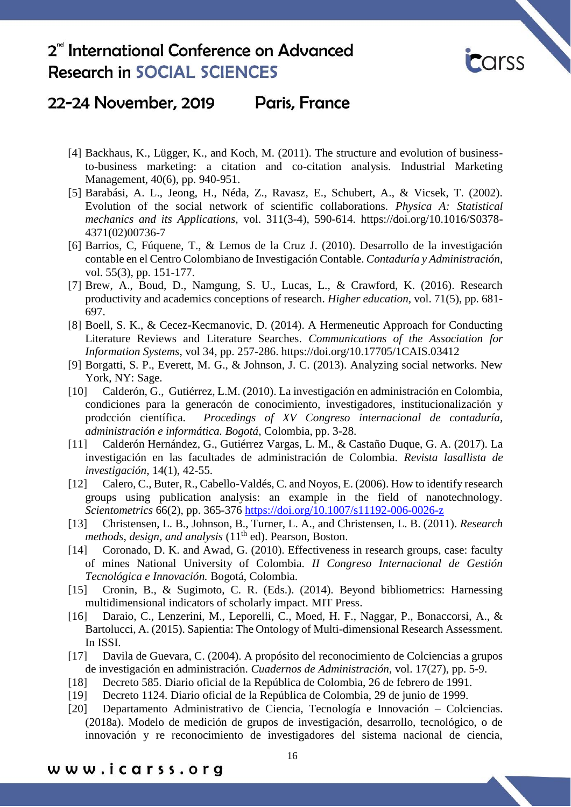

## 22-24 November, 2019 Paris, France

- [4] Backhaus, K., Lügger, K., and Koch, M. (2011). The structure and evolution of businessto-business marketing: a citation and co-citation analysis. Industrial Marketing Management, 40(6), pp. 940-951.
- [5] Barabási, A. L., Jeong, H., Néda, Z., Ravasz, E., Schubert, A., & Vicsek, T. (2002). Evolution of the social network of scientific collaborations. *Physica A: Statistical mechanics and its Applications,* vol. 311(3-4), 590-614. [https://doi.org/10.1016/S0378-](https://doi.org/10.1016/S0378-4371(02)00736-7) [4371\(02\)00736-7](https://doi.org/10.1016/S0378-4371(02)00736-7)
- [6] Barrios, C, Fúquene, T., & Lemos de la Cruz J. (2010). Desarrollo de la investigación contable en el Centro Colombiano de Investigación Contable. *Contaduría y Administración,* vol. 55(3), pp. 151-177.
- [7] Brew, A., Boud, D., Namgung, S. U., Lucas, L., & Crawford, K. (2016). Research productivity and academics conceptions of research. *Higher education,* vol. 71(5), pp. 681- 697.
- [8] Boell, S. K., & Cecez-Kecmanovic, D. (2014). A Hermeneutic Approach for Conducting Literature Reviews and Literature Searches. *Communications of the Association for Information Systems,* vol 34, pp. 257-286. <https://doi.org/10.17705/1CAIS.03412>
- [9] Borgatti, S. P., Everett, M. G., & Johnson, J. C. (2013). Analyzing social networks. New York, NY: Sage.
- [10] Calderón, G., Gutiérrez, L.M. (2010). La investigación en administración en Colombia, condiciones para la generacón de conocimiento, investigadores, institucionalización y prodcción científica. *Procedings of XV Congreso internacional de contaduría, administración e informática. Bogotá*, Colombia, pp. 3-28.
- [11] Calderón Hernández, G., Gutiérrez Vargas, L. M., & Castaño Duque, G. A. (2017). La investigación en las facultades de administración de Colombia*. Revista lasallista de investigación*, 14(1), 42-55.
- [12] Calero, C., Buter, R., Cabello-Valdés, C. and Noyos, E. (2006). How to identify research groups using publication analysis: an example in the field of nanotechnology. *Scientometrics* 66(2), pp. 365-376<https://doi.org/10.1007/s11192-006-0026-z>
- [13] Christensen, L. B., Johnson, B., Turner, L. A., and Christensen, L. B. (2011). *Research methods, design, and analysis* (11<sup>th</sup> ed). Pearson, Boston.
- [14] Coronado, D. K. and Awad, G. (2010). Effectiveness in research groups, case: faculty of mines National University of Colombia. *II Congreso Internacional de Gestión Tecnológica e Innovación.* Bogotá, Colombia.
- [15] Cronin, B., & Sugimoto, C. R. (Eds.). (2014). Beyond bibliometrics: Harnessing multidimensional indicators of scholarly impact. MIT Press.
- [16] Daraio, C., Lenzerini, M., Leporelli, C., Moed, H. F., Naggar, P., Bonaccorsi, A., & Bartolucci, A. (2015). Sapientia: The Ontology of Multi-dimensional Research Assessment. In ISSI.
- [17] Davila de Guevara, C. (2004). A propósito del reconocimiento de Colciencias a grupos de investigación en administración. *Cuadernos de Administración,* vol. 17(27), pp. 5-9.
- [18] Decreto 585. Diario oficial de la República de Colombia, 26 de febrero de 1991.
- [19] Decreto 1124. Diario oficial de la República de Colombia, 29 de junio de 1999.
- [20] Departamento Administrativo de Ciencia, Tecnología e Innovación Colciencias. (2018a). Modelo de medición de grupos de investigación, desarrollo, tecnológico, o de innovación y re reconocimiento de investigadores del sistema nacional de ciencia,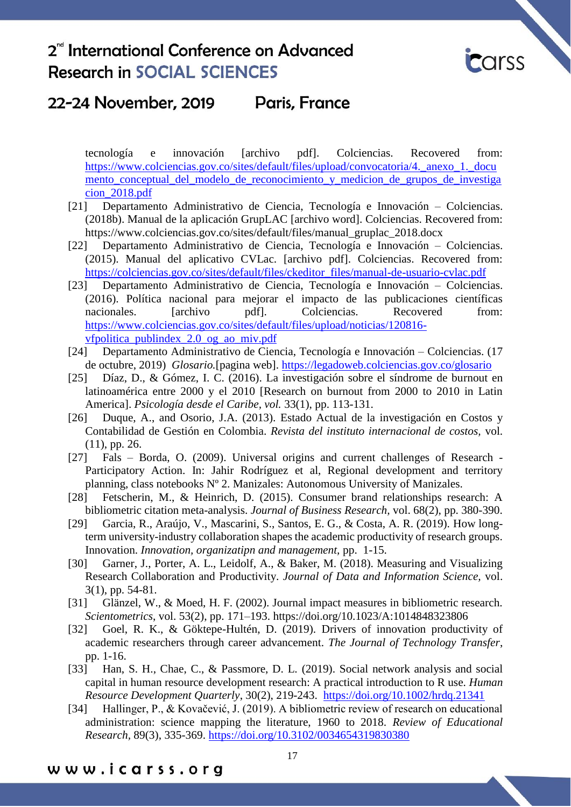

#### 22-24 November, 2019 **Paris, France**

tecnología e innovación [archivo pdf]. Colciencias. Recovered from: https://www.colciencias.gov.co/sites/default/files/upload/convocatoria/4. anexo 1. docu mento conceptual del modelo de reconocimiento y medicion de grupos de investiga [cion\\_2018.pdf](https://www.colciencias.gov.co/sites/default/files/upload/convocatoria/4._anexo_1._documento_conceptual_del_modelo_de_reconocimiento_y_medicion_de_grupos_de_investigacion_2018.pdf)

- [21] Departamento Administrativo de Ciencia, Tecnología e Innovación Colciencias. (2018b). Manual de la aplicación GrupLAC [archivo word]. Colciencias. Recovered from: https://www.colciencias.gov.co/sites/default/files/manual\_gruplac\_2018.docx
- [22] Departamento Administrativo de Ciencia, Tecnología e Innovación Colciencias. (2015). Manual del aplicativo CVLac. [archivo pdf]. Colciencias. Recovered from: [https://colciencias.gov.co/sites/default/files/ckeditor\\_files/manual-de-usuario-cvlac.pdf](https://colciencias.gov.co/sites/default/files/ckeditor_files/manual-de-usuario-cvlac.pdf)
- [23] Departamento Administrativo de Ciencia, Tecnología e Innovación Colciencias. (2016). Política nacional para mejorar el impacto de las publicaciones científicas nacionales. [archivo pdf]. Colciencias. Recovered from: [https://www.colciencias.gov.co/sites/default/files/upload/noticias/120816](https://www.colciencias.gov.co/sites/default/files/upload/noticias/120816-vfpolitica_publindex_2.0_og_ao_miv.pdf) [vfpolitica\\_publindex\\_2.0\\_og\\_ao\\_miv.pdf](https://www.colciencias.gov.co/sites/default/files/upload/noticias/120816-vfpolitica_publindex_2.0_og_ao_miv.pdf)
- [24] Departamento Administrativo de Ciencia, Tecnología e Innovación Colciencias. (17 de octubre, 2019) *Glosario.*[pagina web].<https://legadoweb.colciencias.gov.co/glosario>
- [25] Díaz, D., & Gómez, I. C. (2016). La investigación sobre el síndrome de burnout en latinoamérica entre 2000 y el 2010 [Research on burnout from 2000 to 2010 in Latin America]. *Psicología desde el Caribe, vol.* 33(1), pp. 113-131.
- [26] Duque, A., and Osorio, J.A. (2013). Estado Actual de la investigación en Costos y Contabilidad de Gestión en Colombia. *Revista del instituto internacional de costos,* vol. (11), pp. 26.
- [27] Fals Borda, O. (2009). Universal origins and current challenges of Research Participatory Action. In: Jahir Rodríguez et al, Regional development and territory planning, class notebooks Nº 2. Manizales: Autonomous University of Manizales.
- [28] Fetscherin, M., & Heinrich, D. (2015). Consumer brand relationships research: A bibliometric citation meta-analysis. *Journal of Business Research,* vol. 68(2), pp. 380-390.
- [29] Garcia, R., Araújo, V., Mascarini, S., Santos, E. G., & Costa, A. R. (2019). How longterm university-industry collaboration shapes the academic productivity of research groups. Innovation. *Innovation, organizatipn and management,* pp. 1-15.
- [30] Garner, J., Porter, A. L., Leidolf, A., & Baker, M. (2018). Measuring and Visualizing Research Collaboration and Productivity. *Journal of Data and Information Science,* vol. 3(1), pp. 54-81.
- [31] Glänzel, W., & Moed, H. F. (2002). Journal impact measures in bibliometric research. *Scientometrics*, vol. 53(2), pp. 171–193.<https://doi.org/10.1023/A:1014848323806>
- [32] Goel, R. K., & Göktepe-Hultén, D. (2019). Drivers of innovation productivity of academic researchers through career advancement. *The Journal of Technology Transfer*, pp. 1-16.
- [33] Han, S. H., Chae, C., & Passmore, D. L. (2019). Social network analysis and social capital in human resource development research: A practical introduction to R use*. Human Resource Development Quarterly*, 30(2), 219-243. <https://doi.org/10.1002/hrdq.21341>
- [34] Hallinger, P., & Kovačević, J. (2019). A bibliometric review of research on educational administration: science mapping the literature, 1960 to 2018. *Review of Educational Research,* 89(3), 335-369.<https://doi.org/10.3102/0034654319830380>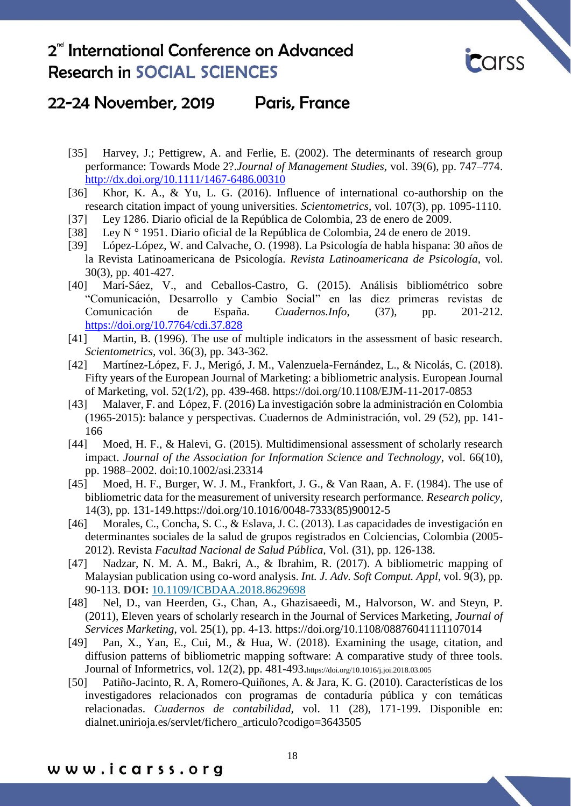

### 22-24 November, 2019 Paris, France

- [35] Harvey, J.; Pettigrew, A. and Ferlie, E. (2002). The determinants of research group performance: Towards Mode 2?.*Journal of Management Studies,* vol. 39(6), pp. 747–774. <http://dx.doi.org/10.1111/1467-6486.00310>
- [36] Khor, K. A., & Yu, L. G. (2016). Influence of international co-authorship on the research citation impact of young universities. *Scientometrics*, vol. 107(3), pp. 1095-1110.
- [37] Ley 1286. Diario oficial de la República de Colombia, 23 de enero de 2009.
- [38] Ley N ° 1951. Diario oficial de la República de Colombia, 24 de enero de 2019.
- [39] López-López, W. and Calvache, O. (1998). La Psicología de habla hispana: 30 años de la Revista Latinoamericana de Psicología. *Revista Latinoamericana de Psicología*, vol. 30(3), pp. 401-427.
- [40] Marí-Sáez, V., and Ceballos-Castro, G. (2015). Análisis bibliométrico sobre "Comunicación, Desarrollo y Cambio Social" en las diez primeras revistas de Comunicación de España. *Cuadernos.Info*, (37), pp. 201-212. <https://doi.org/10.7764/cdi.37.828>
- [41] Martin, B. (1996). The use of multiple indicators in the assessment of basic research. *Scientometrics,* vol. 36(3), pp. 343-362.
- [42] Martínez-López, F. J., Merigó, J. M., Valenzuela-Fernández, L., & Nicolás, C. (2018). Fifty years of the European Journal of Marketing: a bibliometric analysis. European Journal of Marketing, vol. 52(1/2), pp. 439-468.<https://doi.org/10.1108/EJM-11-2017-0853>
- [43] Malaver, F. and López, F. (2016) La investigación sobre la administración en Colombia (1965-2015): balance y perspectivas. Cuadernos de Administración, vol. 29 (52), pp. 141- 166
- [44] Moed, H. F., & Halevi, G. (2015). Multidimensional assessment of scholarly research impact. *Journal of the Association for Information Science and Technology*, vol. 66(10), pp. 1988–2002. doi:10.1002/asi.23314
- [45] Moed, H. F., Burger, W. J. M., Frankfort, J. G., & Van Raan, A. F. (1984). The use of bibliometric data for the measurement of university research performance*. Research policy*, 14(3), pp. 131-149[.https://doi.org/10.1016/0048-7333\(85\)90012-5](https://doi.org/10.1016/0048-7333(85)90012-5)
- [46] Morales, C., Concha, S. C., & Eslava, J. C. (2013). Las capacidades de investigación en determinantes sociales de la salud de grupos registrados en Colciencias, Colombia (2005- 2012). Revista *Facultad Nacional de Salud Pública,* Vol. (31), pp. 126-138.
- [47] Nadzar, N. M. A. M., Bakri, A., & Ibrahim, R. (2017). A bibliometric mapping of Malaysian publication using co-word analysis. *Int. J. Adv. Soft Comput. Appl*, vol. 9(3), pp. 90-113. **DOI:** [10.1109/ICBDAA.2018.8629698](https://doi.org/10.1109/ICBDAA.2018.8629698)
- [48] Nel, D., van Heerden, G., Chan, A., Ghazisaeedi, M., Halvorson, W. and Steyn, P. (2011), Eleven years of scholarly research in the Journal of Services Marketing, *Journal of Services Marketing*, vol. 25(1), pp. 4-13.<https://doi.org/10.1108/08876041111107014>
- [49] Pan, X., Yan, E., Cui, M., & Hua, W. (2018). Examining the usage, citation, and diffusion patterns of bibliometric mapping software: A comparative study of three tools. Journal of Informetrics, vol. 12(2), pp. 481-493.<https://doi.org/10.1016/j.joi.2018.03.005>
- [50] Patiño-Jacinto, R. A, Romero-Quiñones, A. & Jara, K. G. (2010). Características de los investigadores relacionados con programas de contaduría pública y con temáticas relacionadas. *Cuadernos de contabilidad,* vol. 11 (28), 171-199. Disponible en: dialnet.unirioja.es/servlet/fichero\_articulo?codigo=3643505